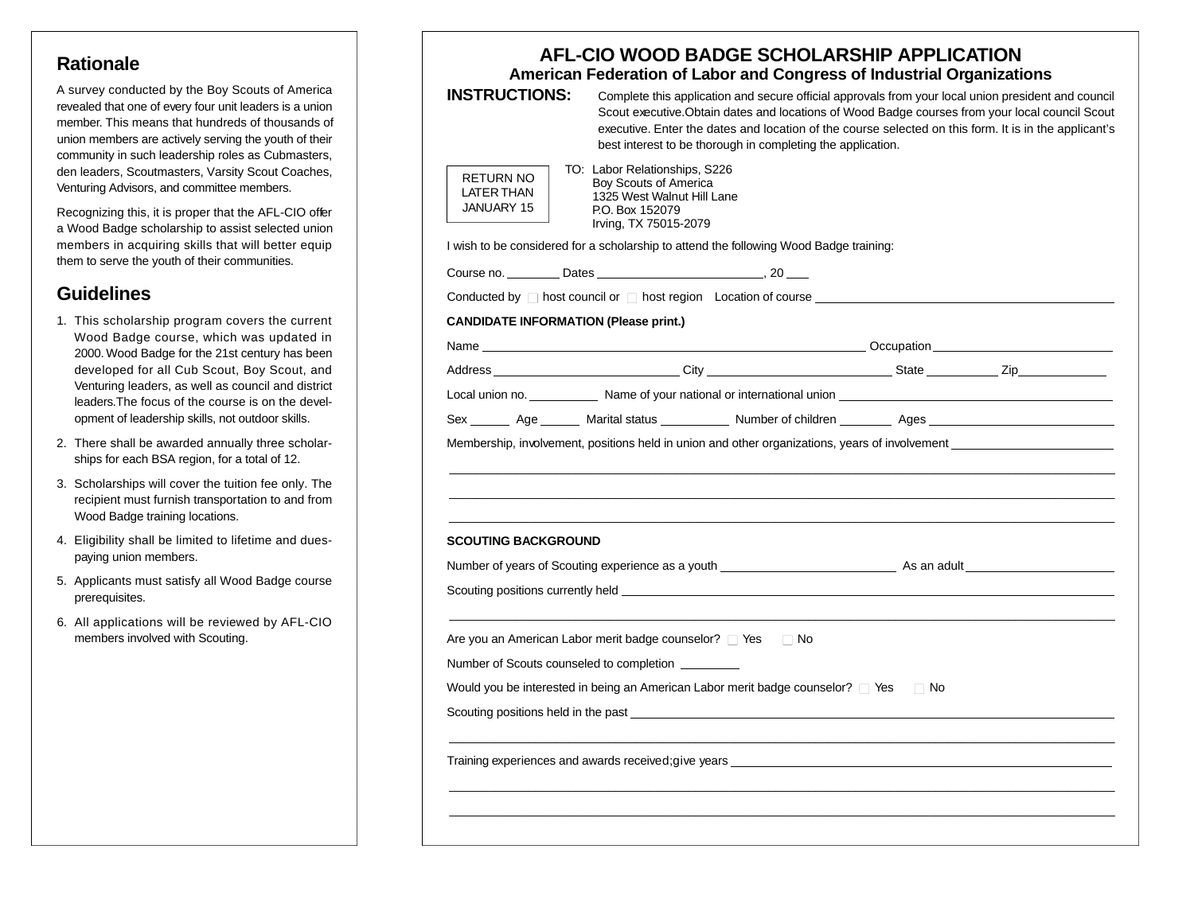## **Rationale**

A survey conducted by the Boy Scouts of America revealed that one of every four unit leaders is a union member. This means that hundreds of thousands of union members are actively serving the youth of their community in such leadership roles as Cubmasters, den leaders, Scoutmasters, Varsity Scout Coaches, Venturing Advisors, and committee members.

Recognizing this, it is proper that the AFL-CIO offer a Wood Badge scholarship to assist selected union members in acquiring skills that will better equip them to serve the youth of their communities.

## Guidelines

- 1. This scholarship program covers the current Wood Badge course, which was updated in 2000. Wood Badge for the 21st century has been developed for all Cub Scout, Boy Scout, and Venturing leaders, as well as council and district leaders. The focus of the course is on the development of leadership skills, not outdoor skills.
- 2. There shall be awarded annually three scholarships for each BSA region, for a total of 12.
- 3. Scholarships will cover the tuition fee only. The recipient must furnish transportation to and from Wood Badge training locations.
- 4 . Eligibility shall be limited to lifetime and duespaying union members.
- 5 . Applicants must satisfy all Wood Badge course prerequisites.
- 6. All applications will be reviewed by AFL-CIO members involved with Scouting.

| <b>INSTRUCTIONS:</b>                         | AFL-CIO WOOD BADGE SCHOLARSHIP APPLICATION<br>American Federation of Labor and Congress of Industrial Organizations<br>Complete this application and secure official approvals from your local union president and council<br>Scout executive. Obtain dates and locations of Wood Badge courses from your local council Scout<br>executive. Enter the dates and location of the course selected on this form. It is in the applicant's<br>best interest to be thorough in completing the application. |           |  |
|----------------------------------------------|-------------------------------------------------------------------------------------------------------------------------------------------------------------------------------------------------------------------------------------------------------------------------------------------------------------------------------------------------------------------------------------------------------------------------------------------------------------------------------------------------------|-----------|--|
| <b>RETURN NO</b><br>LATER THAN<br>JANUARY 15 | TO: Labor Relationships, S226<br>Boy Scouts of America<br>1325 West Walnut Hill Lane<br>P.O. Box 152079<br>Irving, TX 75015-2079                                                                                                                                                                                                                                                                                                                                                                      |           |  |
|                                              | I wish to be considered for a scholarship to attend the following Wood Badge training:                                                                                                                                                                                                                                                                                                                                                                                                                |           |  |
|                                              |                                                                                                                                                                                                                                                                                                                                                                                                                                                                                                       |           |  |
|                                              | Conducted by $\Box$ host council or $\Box$ host region Location of course $\Box$                                                                                                                                                                                                                                                                                                                                                                                                                      |           |  |
| <b>CANDIDATE INFORMATION (Please print.)</b> |                                                                                                                                                                                                                                                                                                                                                                                                                                                                                                       |           |  |
|                                              |                                                                                                                                                                                                                                                                                                                                                                                                                                                                                                       |           |  |
|                                              |                                                                                                                                                                                                                                                                                                                                                                                                                                                                                                       |           |  |
|                                              | Local union no. ______________ Name of your national or international union __________________________________                                                                                                                                                                                                                                                                                                                                                                                        |           |  |
|                                              | Sex ________ Age _______ Marital status ____________ Number of children _________ Ages _______________________                                                                                                                                                                                                                                                                                                                                                                                        |           |  |
| <b>SCOUTING BACKGROUND</b>                   |                                                                                                                                                                                                                                                                                                                                                                                                                                                                                                       |           |  |
|                                              |                                                                                                                                                                                                                                                                                                                                                                                                                                                                                                       |           |  |
|                                              | Scouting positions currently held <b>example and the contract of the contract of the contract of the contract of the contract of the contract of the contract of the contract of the contract of the contract of the contract of</b>                                                                                                                                                                                                                                                                  |           |  |
|                                              | Are you an American Labor merit badge counselor? $\Box$ Yes $\Box$ No                                                                                                                                                                                                                                                                                                                                                                                                                                 |           |  |
|                                              | Number of Scouts counseled to completion _________                                                                                                                                                                                                                                                                                                                                                                                                                                                    |           |  |
|                                              | Would you be interested in being an American Labor merit badge counselor? $\square$ Yes                                                                                                                                                                                                                                                                                                                                                                                                               | $\Box$ No |  |
| Scouting positions held in the past          |                                                                                                                                                                                                                                                                                                                                                                                                                                                                                                       |           |  |
|                                              |                                                                                                                                                                                                                                                                                                                                                                                                                                                                                                       |           |  |
|                                              | Training experiences and awards received; give years                                                                                                                                                                                                                                                                                                                                                                                                                                                  |           |  |
|                                              |                                                                                                                                                                                                                                                                                                                                                                                                                                                                                                       |           |  |